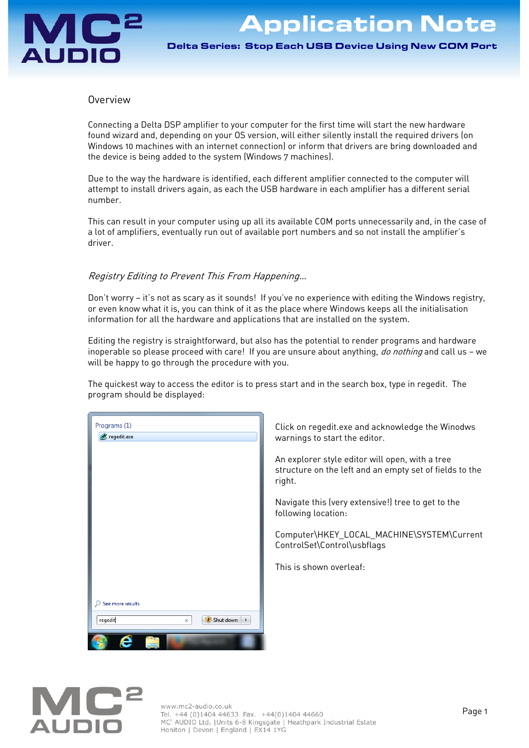# AUDIO

Application Note

Delta Series: Stop Each USB Device Using New COM Port

## Overview

Connecting a Delta DSP amplifier to your computer for the first time will start the new hardware found wizard and, depending on your OS version, will either silently install the required drivers (on Windows 10 machines with an internet connection) or inform that drivers are bring downloaded and the device is being added to the system (Windows 7 machines).

Due to the way the hardware is identified, each different amplifier connected to the computer will attempt to install drivers again, as each the USB hardware in each amplifier has a different serial number.

This can result in your computer using up all its available COM ports unnecessarily and, in the case of a lot of amplifiers, eventually run out of available port numbers and so not install the amplifier's driver.

# Registry Editing to Prevent This From Happening…

Don't worry — it's not as scary as it sounds! If you've no experience with editing the Windows registry, or even know what it is, you can think of it as the place where Windows keeps all the initialisation information for all the hardware and applications that are installed on the system.

Editing the registry is straightforward, but also has the potential to render programs and hardware inoperable so please proceed with care! If you are unsure about anything, *do nothing* and call us - we will be happy to go through the procedure with you.

The quickest way to access the editor is to press start and in the search box, type in regedit. The program should be displayed:

| Programs (1)           |                     |
|------------------------|---------------------|
| regedit.exe            |                     |
|                        |                     |
|                        |                     |
|                        |                     |
|                        |                     |
|                        |                     |
|                        |                     |
|                        |                     |
|                        |                     |
|                        |                     |
|                        |                     |
|                        |                     |
|                        |                     |
| $\wp$ See more results |                     |
| regedit<br>$\times$    | $\bullet$ Shut down |
| ê<br>Ž                 |                     |

Click on regedit.exe and acknowledge the Winodws warnings to start the editor.

An explorer style editor will open, with a tree structure on the left and an empty set of fields to the right.

Navigate this (very extensive!) tree to get to the following location:

Computer\HKEY\_LOCAL\_MACHINE\SYSTEM\Current ControlSet\Control\usbflags

This is shown overleaf:

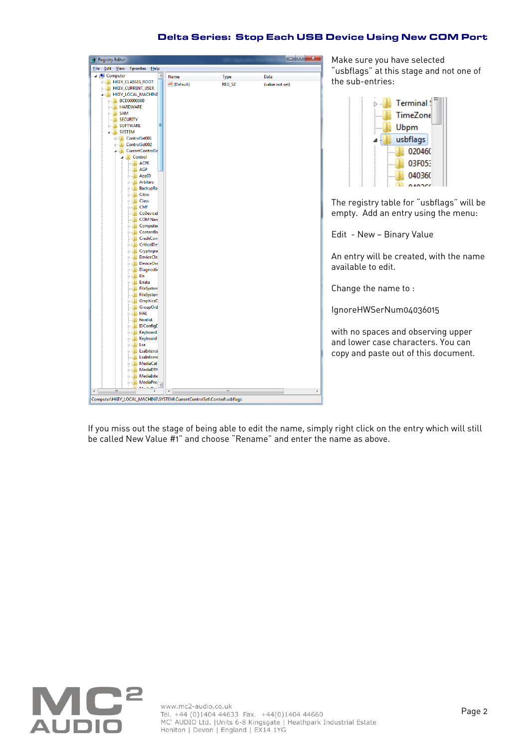### Delta Series: Stop Each USB Device Using New COM Port

| <b>Registry Editor</b>                      |                                       |                      |             |                 |   |
|---------------------------------------------|---------------------------------------|----------------------|-------------|-----------------|---|
| File Edit View                              | Favorites Help                        |                      |             |                 |   |
| 4 Computer                                  | Ä                                     | Name                 | <b>Type</b> | Data            |   |
| <b>NEW HKEY_CLASSES_ROOT</b>                |                                       | ab (Default)         | REG_SZ      | (value not set) |   |
| <b>D</b> HKEY_CURRENT_USER                  |                                       |                      |             |                 |   |
| 4   HKEY_LOCAL_MACHINE                      |                                       |                      |             |                 |   |
| <b>BCD00000000</b>                          |                                       |                      |             |                 |   |
| <b>D</b> HARDWARE                           |                                       |                      |             |                 |   |
| $\triangleright$ $\cdot$ $\blacksquare$ SAM |                                       |                      |             |                 |   |
| <b>NESECURITY</b>                           |                                       |                      |             |                 |   |
| <b>SOFTWARE</b>                             |                                       |                      |             |                 |   |
| <b>A</b> SYSTEM                             |                                       |                      |             |                 |   |
| De ControlSet001                            |                                       |                      |             |                 |   |
| De ControlSet002                            |                                       |                      |             |                 |   |
|                                             | 4 CurrentControlSe                    |                      |             |                 |   |
| <b>A</b> Control                            |                                       |                      |             |                 |   |
|                                             | <b>ACPI</b>                           |                      |             |                 |   |
|                                             | - <b>I</b> AGP                        |                      |             |                 |   |
|                                             | <b>AppID</b>                          |                      |             |                 |   |
|                                             | <b>Arbiters</b>                       |                      |             |                 |   |
|                                             | <b>BackupRe</b><br>D- Citrix          |                      |             |                 |   |
|                                             | <b>D</b> - Le Class                   |                      |             |                 |   |
|                                             | $\triangleright$ - $\blacksquare$ CMF |                      |             |                 |   |
|                                             | <b>CoDevicel</b>                      |                      |             |                 |   |
|                                             | <b>COM Nan</b>                        |                      |             |                 |   |
|                                             | <b>D</b> Computer                     |                      |             |                 |   |
|                                             | <b>Contentin</b>                      |                      |             |                 |   |
|                                             | <b>CrashCon</b>                       |                      |             |                 |   |
|                                             | <b>D</b> CriticalDe                   |                      |             |                 |   |
|                                             | <b>D</b> Cryptogra                    |                      |             |                 |   |
|                                             | <b>DeviceCla</b>                      |                      |             |                 |   |
|                                             | DeviceOvi                             |                      |             |                 |   |
|                                             | <b>Diagnosti</b>                      |                      |             |                 |   |
|                                             | $\triangleright$ - $\blacksquare$ Els |                      |             |                 |   |
|                                             | <b>D</b> Errata                       |                      |             |                 |   |
|                                             | <b>FileSystem</b>                     |                      |             |                 |   |
|                                             | <b>FileSystem</b>                     |                      |             |                 |   |
|                                             | <b>D</b> GraphicsD                    |                      |             |                 |   |
|                                             | <b>CroupOrd</b>                       |                      |             |                 |   |
|                                             | $\triangleright$ - $\blacksquare$ HAL |                      |             |                 |   |
|                                             | <b>No hivelist</b>                    |                      |             |                 |   |
|                                             | <b>D</b> IDConfigE                    |                      |             |                 |   |
|                                             | <b>Neyboard</b>                       |                      |             |                 |   |
|                                             | <b>Neyboard</b>                       |                      |             |                 |   |
|                                             | ⊳ - Lsa                               |                      |             |                 |   |
|                                             | <b>D</b> LsaExtensi                   |                      |             |                 |   |
|                                             | <b>L</b> LsaInform<br><b>MediaCat</b> |                      |             |                 |   |
|                                             | <b>MediaDRM</b>                       |                      |             |                 |   |
|                                             | <b>MediaInte</b>                      |                      |             |                 |   |
|                                             | <b>MediaPro</b>                       |                      |             |                 |   |
|                                             | <b>MAGNITUDIO</b>                     |                      |             |                 |   |
| $\blacktriangleleft$<br>$\mathbf{H}$        | Þ                                     | $\blacktriangleleft$ | Ш           |                 | Þ |

Make sure you have selected "usbflags" at this stage and not one of the sub-entries:



The registry table for "usbflags" will be empty. Add an entry using the menu:

Edit - New — Binary Value

An entry will be created, with the name available to edit.

Change the name to :

IgnoreHWSerNum04036015

with no spaces and observing upper and lower case characters. You can copy and paste out of this document.

If you miss out the stage of being able to edit the name, simply right click on the entry which will still be called New Value #1" and choose "Rename" and enter the name as above.